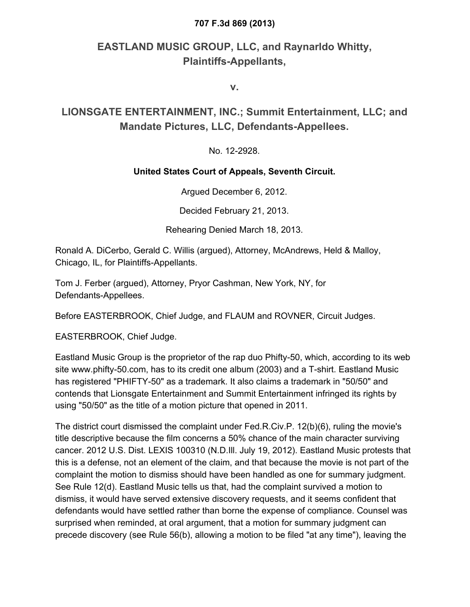## **707 F.3d 869 (2013)**

## **EASTLAND MUSIC GROUP, LLC, and Raynarldo Whitty, Plaintiffs-Appellants,**

**v.**

## **LIONSGATE ENTERTAINMENT, INC.; Summit Entertainment, LLC; and Mandate Pictures, LLC, Defendants-Appellees.**

No. 12-2928.

## **United States Court of Appeals, Seventh Circuit.**

Argued December 6, 2012.

Decided February 21, 2013.

Rehearing Denied March 18, 2013.

Ronald A. DiCerbo, Gerald C. Willis (argued), Attorney, McAndrews, Held & Malloy, Chicago, IL, for Plaintiffs-Appellants.

Tom J. Ferber (argued), Attorney, Pryor Cashman, New York, NY, for Defendants-Appellees.

Before EASTERBROOK, Chief Judge, and FLAUM and ROVNER, Circuit Judges.

EASTERBROOK, Chief Judge.

Eastland Music Group is the proprietor of the rap duo Phifty-50, which, according to its web site www.phifty-50.com, has to its credit one album (2003) and a T-shirt. Eastland Music has registered "PHIFTY-50" as a trademark. It also claims a trademark in "50/50" and contends that Lionsgate Entertainment and Summit Entertainment infringed its rights by using "50/50" as the title of a motion picture that opened in 2011.

The district court dismissed the complaint under Fed.R.Civ.P. 12(b)(6), ruling the movie's title descriptive because the film concerns a 50% chance of the main character surviving cancer. 2012 U.S. Dist. LEXIS 100310 (N.D.Ill. July 19, 2012). Eastland Music protests that this is a defense, not an element of the claim, and that because the movie is not part of the complaint the motion to dismiss should have been handled as one for summary judgment. See Rule 12(d). Eastland Music tells us that, had the complaint survived a motion to dismiss, it would have served extensive discovery requests, and it seems confident that defendants would have settled rather than borne the expense of compliance. Counsel was surprised when reminded, at oral argument, that a motion for summary judgment can precede discovery (see Rule 56(b), allowing a motion to be filed "at any time"), leaving the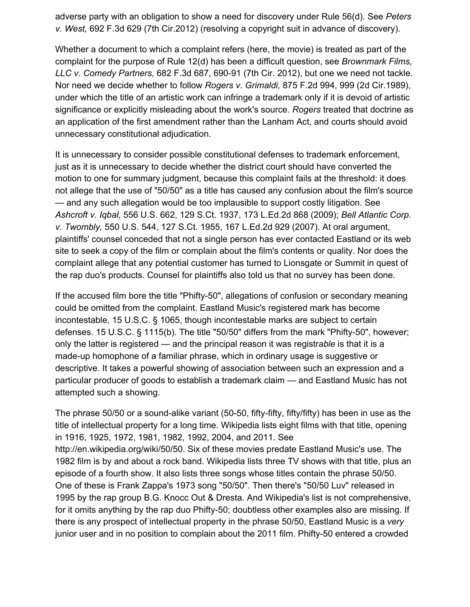adverse party with an obligation to show a need for discovery under Rule 56(d). See *Peters v. West,* 692 F.3d 629 (7th Cir.2012) (resolving a copyright suit in advance of discovery).

Whether a document to which a complaint refers (here, the movie) is treated as part of the complaint for the purpose of Rule 12(d) has been a difficult question, see *Brownmark Films, LLC v. Comedy Partners,* 682 F.3d 687, 690-91 (7th Cir. 2012), but one we need not tackle. Nor need we decide whether to follow *Rogers v. Grimaldi,* 875 F.2d 994, 999 (2d Cir.1989), under which the title of an artistic work can infringe a trademark only if it is devoid of artistic significance or explicitly misleading about the work's source. *Rogers* treated that doctrine as an application of the first amendment rather than the Lanham Act, and courts should avoid unnecessary constitutional adjudication.

It is unnecessary to consider possible constitutional defenses to trademark enforcement, just as it is unnecessary to decide whether the district court should have converted the motion to one for summary judgment, because this complaint fails at the threshold: it does not allege that the use of "50/50" as a title has caused any confusion about the film's source — and any such allegation would be too implausible to support costly litigation. See *Ashcroft v. Iqbal,* 556 U.S. 662, 129 S.Ct. 1937, 173 L.Ed.2d 868 (2009); *Bell Atlantic Corp. v. Twombly,* 550 U.S. 544, 127 S.Ct. 1955, 167 L.Ed.2d 929 (2007). At oral argument, plaintiffs' counsel conceded that not a single person has ever contacted Eastland or its web site to seek a copy of the film or complain about the film's contents or quality. Nor does the complaint allege that any potential customer has turned to Lionsgate or Summit in quest of the rap duo's products. Counsel for plaintiffs also told us that no survey has been done.

If the accused film bore the title "Phifty-50", allegations of confusion or secondary meaning could be omitted from the complaint. Eastland Music's registered mark has become incontestable, 15 U.S.C. § 1065, though incontestable marks are subject to certain defenses. 15 U.S.C. § 1115(b). The title "50/50" differs from the mark "Phifty-50", however; only the latter is registered — and the principal reason it was registr*able* is that it is a made-up homophone of a familiar phrase, which in ordinary usage is suggestive or descriptive. It takes a powerful showing of association between such an expression and a particular producer of goods to establish a trademark claim — and Eastland Music has not attempted such a showing.

The phrase 50/50 or a sound-alike variant (50-50, fifty-fifty, fifty/fifty) has been in use as the title of intellectual property for a long time. Wikipedia lists eight films with that title, opening in 1916, 1925, 1972, 1981, 1982, 1992, 2004, and 2011. See http://en.wikipedia.org/wiki/50/50. Six of these movies predate Eastland Music's use. The 1982 film is by and about a rock band. Wikipedia lists three TV shows with that title, plus an episode of a fourth show. It also lists three songs whose titles contain the phrase 50/50. One of these is Frank Zappa's 1973 song "50/50". Then there's "50/50 Luv" released in 1995 by the rap group B.G. Knocc Out & Dresta. And Wikipedia's list is not comprehensive, for it omits anything by the rap duo Phifty-50; doubtless other examples also are missing. If there is any prospect of intellectual property in the phrase 50/50, Eastland Music is a *very* junior user and in no position to complain about the 2011 film. Phifty-50 entered a crowded